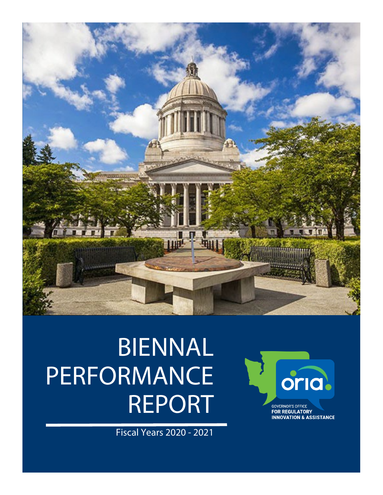

# BIENNAL **PERFORMANCE** REPORT

Fiscal Years 2020 - 2021

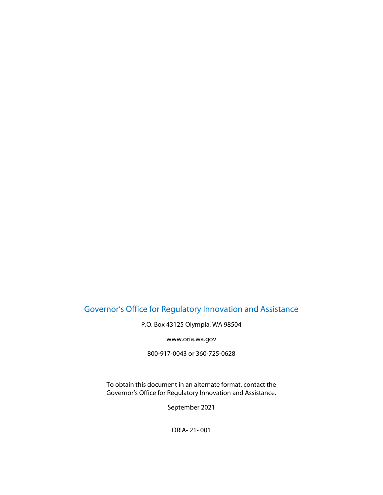# Governor's Office for Regulatory Innovation and Assistance

P.O. Box 43125 Olympia, WA 98504

[www.oria.wa.gov](http://www.oria.wa.gov/)

800-917-0043 or 360-725-0628

To obtain this document in an alternate format, contact the Governor's Office for Regulatory Innovation and Assistance.

September 2021

ORIA- 21- 001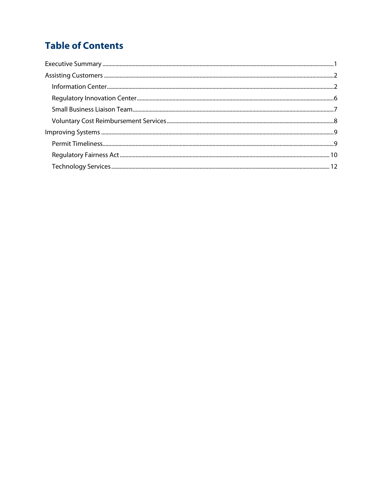# **Table of Contents**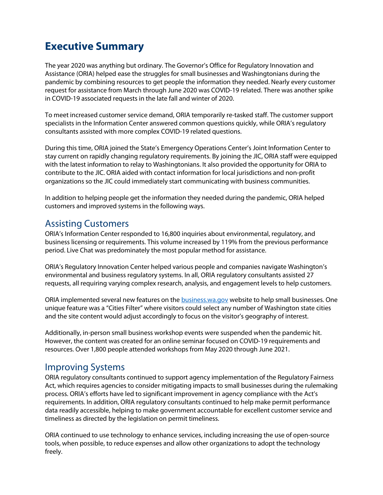# **Executive Summary**

The year 2020 was anything but ordinary. The Governor's Office for Regulatory Innovation and Assistance (ORIA) helped ease the struggles for small businesses and Washingtonians during the pandemic by combining resources to get people the information they needed. Nearly every customer request for assistance from March through June 2020 was COVID-19 related. There was another spike in COVID-19 associated requests in the late fall and winter of 2020.

To meet increased customer service demand, ORIA temporarily re-tasked staff. The customer support specialists in the Information Center answered common questions quickly, while ORIA's regulatory consultants assisted with more complex COVID-19 related questions.

During this time, ORIA joined the State's Emergency Operations Center's Joint Information Center to stay current on rapidly changing regulatory requirements. By joining the JIC, ORIA staff were equipped with the latest information to relay to Washingtonians. It also provided the opportunity for ORIA to contribute to the JIC. ORIA aided with contact information for local jurisdictions and non-profit organizations so the JIC could immediately start communicating with business communities.

In addition to helping people get the information they needed during the pandemic, ORIA helped customers and improved systems in the following ways.

## Assisting Customers

ORIA's Information Center responded to 16,800 inquiries about environmental, regulatory, and business licensing or requirements. This volume increased by 119% from the previous performance period. Live Chat was predominately the most popular method for assistance.

ORIA's Regulatory Innovation Center helped various people and companies navigate Washington's environmental and business regulatory systems. In all, ORIA regulatory consultants assisted 27 requests, all requiring varying complex research, analysis, and engagement levels to help customers.

ORIA implemented several new features on the **business.wa.gov** website to help small businesses. One unique feature was a "Cities Filter" where visitors could select any number of Washington state cities and the site content would adjust accordingly to focus on the visitor's geography of interest.

Additionally, in-person small business workshop events were suspended when the pandemic hit. However, the content was created for an online seminar focused on COVID-19 requirements and resources. Over 1,800 people attended workshops from May 2020 through June 2021.

## Improving Systems

ORIA regulatory consultants continued to support agency implementation of the Regulatory Fairness Act, which requires agencies to consider mitigating impacts to small businesses during the rulemaking process. ORIA's efforts have led to significant improvement in agency compliance with the Act's requirements. In addition, ORIA regulatory consultants continued to help make permit performance data readily accessible, helping to make government accountable for excellent customer service and timeliness as directed by the legislation on permit timeliness.

ORIA continued to use technology to enhance services, including increasing the use of open-source tools, when possible, to reduce expenses and allow other organizations to adopt the technology freely.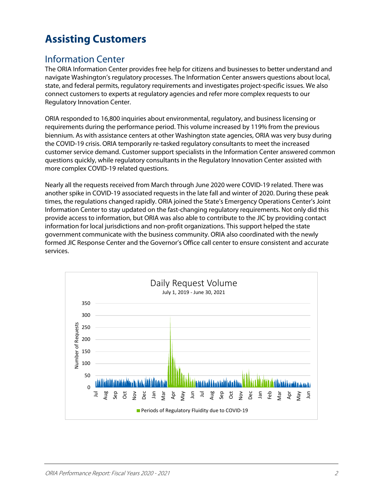# **Assisting Customers**

# Information Center

The ORIA Information Center provides free help for citizens and businesses to better understand and navigate Washington's regulatory processes. The Information Center answers questions about local, state, and federal permits, regulatory requirements and investigates project-specific issues. We also connect customers to experts at regulatory agencies and refer more complex requests to our Regulatory Innovation Center.

ORIA responded to 16,800 inquiries about environmental, regulatory, and business licensing or requirements during the performance period. This volume increased by 119% from the previous biennium. As with assistance centers at other Washington state agencies, ORIA was very busy during the COVID-19 crisis. ORIA temporarily re-tasked regulatory consultants to meet the increased customer service demand. Customer support specialists in the Information Center answered common questions quickly, while regulatory consultants in the Regulatory Innovation Center assisted with more complex COVID-19 related questions.

Nearly all the requests received from March through June 2020 were COVID-19 related. There was another spike in COVID-19 associated requests in the late fall and winter of 2020. During these peak times, the regulations changed rapidly. ORIA joined the State's Emergency Operations Center's Joint Information Center to stay updated on the fast-changing regulatory requirements. Not only did this provide access to information, but ORIA was also able to contribute to the JIC by providing contact information for local jurisdictions and non-profit organizations. This support helped the state government communicate with the business community. ORIA also coordinated with the newly formed JIC Response Center and the Governor's Office call center to ensure consistent and accurate services.

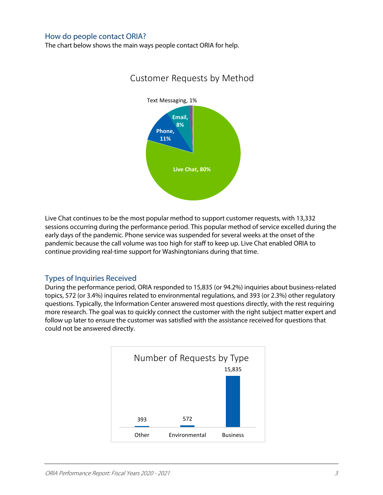## How do people contact ORIA?

The chart below shows the main ways people contact ORIA for help.



## Customer Requests by Method

Live Chat continues to be the most popular method to support customer requests, with 13,332 sessions occurring during the performance period. This popular method of service excelled during the early days of the pandemic. Phone service was suspended for several weeks at the onset of the pandemic because the call volume was too high for staff to keep up. Live Chat enabled ORIA to continue providing real-time support for Washingtonians during that time.

## Types of Inquiries Received

During the performance period, ORIA responded to 15,835 (or 94.2%) inquiries about business-related topics, 572 (or 3.4%) inquires related to environmental regulations, and 393 (or 2.3%) other regulatory questions. Typically, the Information Center answered most questions directly, with the rest requiring more research. The goal was to quickly connect the customer with the right subject matter expert and follow up later to ensure the customer was satisfied with the assistance received for questions that could not be answered directly.

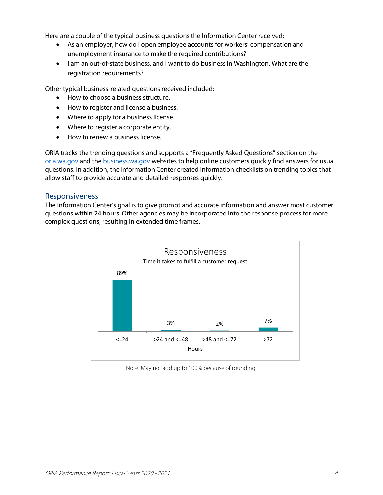Here are a couple of the typical business questions the Information Center received:

- As an employer, how do I open employee accounts for workers' compensation and unemployment insurance to make the required contributions?
- I am an out-of-state business, and I want to do business in Washington. What are the registration requirements?

Other typical business-related questions received included:

- How to choose a business structure.
- How to register and license a business.
- Where to apply for a business license.
- Where to register a corporate entity.
- How to renew a business license.

ORIA tracks the trending questions and supports a "Frequently Asked Questions" section on the [oria.wa.gov](http://oria.wa.gov/) and the [business.wa.gov](http://business.wa.gov/) websites to help online customers quickly find answers for usual questions. In addition, the Information Center created information checklists on trending topics that allow staff to provide accurate and detailed responses quickly.

#### Responsiveness

The Information Center's goal is to give prompt and accurate information and answer most customer questions within 24 hours. Other agencies may be incorporated into the response process for more complex questions, resulting in extended time frames.



Note: May not add up to 100% because of rounding.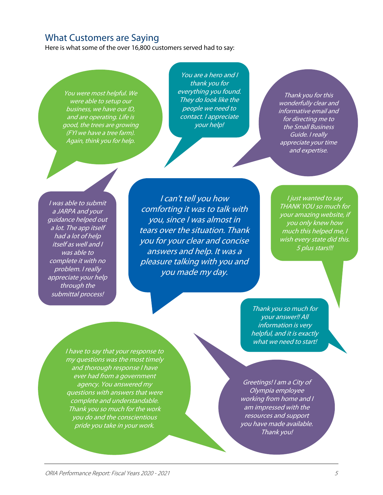## What Customers are Saying

Here is what some of the over 16,800 customers served had to say:

You were most helpful. We were able to setup our business, we have our ID, and are operating. Life is good, the trees are growing (FYI we have a tree farm). Again, think you for help.

You are a hero and I thank you for everything you found. They do look like the people we need to contact. I appreciate your help!

Thank you for this wonderfully clear and informative email and for directing me to the Small Business Guide. I really appreciate your time and expertise.

I was able to submit a JARPA and your guidance helped out a lot. The app itself had a lot of help itself as well and I was able to complete it with no problem. I really appreciate your help through the submittal process!

I can't tell you how comforting it was to talk with you, since I was almost in tears over the situation. Thank you for your clear and concise answers and help. It was a pleasure talking with you and you made my day.

I just wanted to say THANK YOU so much for your amazing website, if you only knew how much this helped me, I wish every state did this. 5 plus stars!!!

Thank you so much for your answer!! All information is very helpful, and it is exactly what we need to start!

my questions was the most timely and thorough response I have ever had from a government agency. You answered my questions with answers that were complete and understandable. Thank you so much for the work you do and the conscientious pride you take in your work.

I have to say that your response to

Greetings! I am a City of Olympia employee working from home and I am impressed with the resources and support you have made available. Thank you!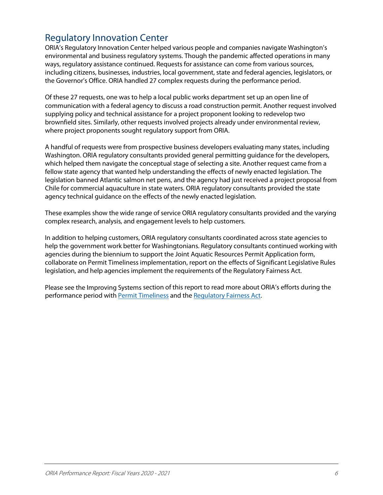# Regulatory Innovation Center

ORIA's Regulatory Innovation Center helped various people and companies navigate Washington's environmental and business regulatory systems. Though the pandemic affected operations in many ways, regulatory assistance continued. Requests for assistance can come from various sources, including citizens, businesses, industries, local government, state and federal agencies, legislators, or the Governor's Office. ORIA handled 27 complex requests during the performance period.

Of these 27 requests, one was to help a local public works department set up an open line of communication with a federal agency to discuss a road construction permit. Another request involved supplying policy and technical assistance for a project proponent looking to redevelop two brownfield sites. Similarly, other requests involved projects already under environmental review, where project proponents sought regulatory support from ORIA.

A handful of requests were from prospective business developers evaluating many states, including Washington. ORIA regulatory consultants provided general permitting guidance for the developers, which helped them navigate the conceptual stage of selecting a site. Another request came from a fellow state agency that wanted help understanding the effects of newly enacted legislation. The legislation banned Atlantic salmon net pens, and the agency had just received a project proposal from Chile for commercial aquaculture in state waters. ORIA regulatory consultants provided the state agency technical guidance on the effects of the newly enacted legislation.

These examples show the wide range of service ORIA regulatory consultants provided and the varying complex research, analysis, and engagement levels to help customers.

In addition to helping customers, ORIA regulatory consultants coordinated across state agencies to help the government work better for Washingtonians. Regulatory consultants continued working with agencies during the biennium to support the Joint Aquatic Resources Permit Application form, collaborate on Permit Timeliness implementation, report on the effects of Significant Legislative Rules legislation, and help agencies implement the requirements of the Regulatory Fairness Act.

Please see the [Improving Systems](#page-11-0) section of this report to read more about ORIA's efforts during the performance period with [Permit Timeliness](#page-11-1) and th[e Regulatory Fairness Act.](#page-12-0)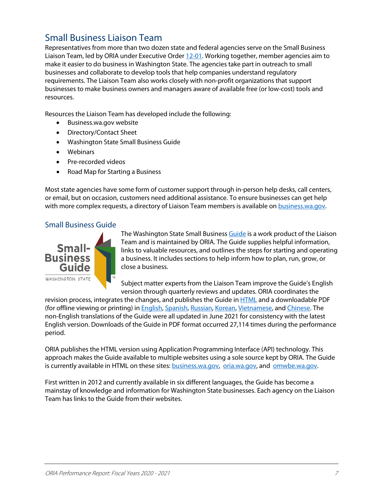# Small Business Liaison Team

Representatives from more than two dozen state and federal agencies serve on the Small Business Liaison Team, led by ORIA under Executive Order [12-01.](https://www.governor.wa.gov/sites/default/files/exe_order/eo_12-01.pdf) Working together, member agencies aim to make it easier to do business in Washington State. The agencies take part in outreach to small businesses and collaborate to develop tools that help companies understand regulatory requirements. The Liaison Team also works closely with non-profit organizations that support businesses to make business owners and managers aware of available free (or low-cost) tools and resources.

Resources the Liaison Team has developed include the following:

- Business.wa.gov website
- Directory/Contact Sheet
- Washington State Small Business Guide
- Webinars
- Pre-recorded videos
- Road Map for Starting a Business

Most state agencies have some form of customer support through in-person help desks, call centers, or email, but on occasion, customers need additional assistance. To ensure businesses can get help with more complex requests, a directory of Liaison Team members is available on **business**.wa.gov.

## Small Business Guide



The Washington State Small Business [Guide](file://encmsoly1024.eclient.wa.lcl/gov/govhome$/DanM075/ORIA/business.wa.gov/guide) is a work product of the Liaison Team and is maintained by ORIA. The Guide supplies helpful information, links to valuable resources, and outlines the steps for starting and operating a business. It includes sections to help inform how to plan, run, grow, or close a business.

Subject matter experts from the Liaison Team improve the Guide's English version through quarterly reviews and updates. ORIA coordinates the

revision process, integrates the changes, and publishes the Guide i[n HTML](http://www.oria.wa.gov/smallbusinessguide) and a downloadable PDF (for offline viewing or printing) in [English,](https://www.oria.wa.gov/Portals/_oria/VersionedDocuments/Business_Publications/small_business_guide.pdf) [Spanish,](https://www.oria.wa.gov/Portals/_oria/VersionedDocuments/Business_Publications/sbg_spanish.pdf) [Russian,](https://www.oria.wa.gov/Portals/_oria/VersionedDocuments/Business_Publications/sbg_russian.pdf) [Korean,](https://www.oria.wa.gov/Portals/_oria/VersionedDocuments/Business_Publications/sbg_korean.pdf) [Vietnamese,](https://www.oria.wa.gov/Portals/_oria/VersionedDocuments/Business_Publications/sbg_vietnamese.pdf) an[d Chinese.](https://www.oria.wa.gov/Portals/_oria/VersionedDocuments/Business_Publications/sbg_chinese.pdf) The non-English translations of the Guide were all updated in June 2021 for consistency with the latest English version. Downloads of the Guide in PDF format occurred 27,114 times during the performance period.

ORIA publishes the HTML version using Application Programming Interface (API) technology. This approach makes the Guide available to multiple websites using a sole source kept by ORIA. The Guide is currently available in HTML on these sites: [business.wa.gov,](http://business.wa.gov/) [oria.wa.gov,](http://oria.wa.gov/) and [omwbe.wa.gov.](https://omwbe.wa.gov/)

First written in 2012 and currently available in six different languages, the Guide has become a mainstay of knowledge and information for Washington State businesses. Each agency on the Liaison Team has links to the Guide from their websites.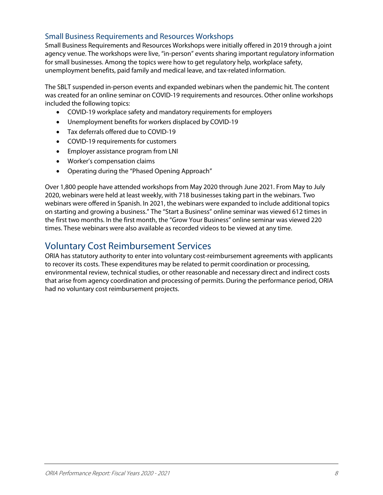## Small Business Requirements and Resources Workshops

Small Business Requirements and Resources Workshops were initially offered in 2019 through a joint agency venue. The workshops were live, "in-person" events sharing important regulatory information for small businesses. Among the topics were how to get regulatory help, workplace safety, unemployment benefits, paid family and medical leave, and tax-related information.

The SBLT suspended in-person events and expanded webinars when the pandemic hit. The content was created for an online seminar on COVID-19 requirements and resources. Other online workshops included the following topics:

- COVID-19 workplace safety and mandatory requirements for employers
- Unemployment benefits for workers displaced by COVID-19
- Tax deferrals offered due to COVID-19
- COVID-19 requirements for customers
- Employer assistance program from LNI
- Worker's compensation claims
- Operating during the "Phased Opening Approach"

Over 1,800 people have attended workshops from May 2020 through June 2021. From May to July 2020, webinars were held at least weekly, with 718 businesses taking part in the webinars. Two webinars were offered in Spanish. In 2021, the webinars were expanded to include additional topics on starting and growing a business." The "Start a Business" online seminar was viewed 612 times in the first two months. In the first month, the "Grow Your Business" online seminar was viewed 220 times. These webinars were also available as recorded videos to be viewed at any time.

## Voluntary Cost Reimbursement Services

ORIA has statutory authority to enter into voluntary cost-reimbursement agreements with applicants to recover its costs. These expenditures may be related to permit coordination or processing, environmental review, technical studies, or other reasonable and necessary direct and indirect costs that arise from agency coordination and processing of permits. During the performance period, ORIA had no voluntary cost reimbursement projects.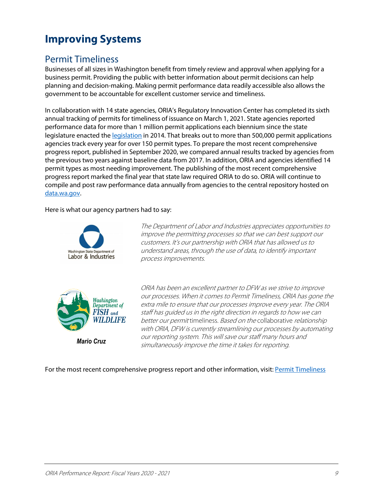# <span id="page-11-0"></span>**Improving Systems**

## <span id="page-11-1"></span>Permit Timeliness

Businesses of all sizes in Washington benefit from timely review and approval when applying for a business permit. Providing the public with better information about permit decisions can help planning and decision-making. Making permit performance data readily accessible also allows the government to be accountable for excellent customer service and timeliness.

In collaboration with 14 state agencies, ORIA's Regulatory Innovation Center has completed its sixth annual tracking of permits for timeliness of issuance on March 1, 2021. State agencies reported performance data for more than 1 million permit applications each biennium since the state legislature enacted th[e legislation](http://apps.leg.wa.gov/billinfo/summary.aspx?bill=2192&year=2014) in 2014. That breaks out to more than 500,000 permit applications agencies track every year for over 150 permit types. To prepare the most recent comprehensive progress report, published in September 2020, we compared annual results tracked by agencies from the previous two years against baseline data from 2017. In addition, ORIA and agencies identified 14 permit types as most needing improvement. The publishing of the most recent comprehensive progress report marked the final year that state law required ORIA to do so. ORIA will continue to compile and post raw performance data annually from agencies to the central repository hosted on [data.wa.gov.](https://data.wa.gov/)

Here is what our agency partners had to say:



The Department of Labor and Industries appreciates opportunities to improve the permitting processes so that we can best support our customers. It's our partnership with ORIA that has allowed us to understand areas, through the use of data, to identify important process improvements.



*Mario Cruz*

ORIA has been an excellent partner to DFW as we strive to improve our processes. When it comes to Permit Timeliness, ORIA has gone the extra mile to ensure that our processes improve every year. The ORIA staff has guided us in the right direction in regards to how we can better our permit timeliness. Based on the collaborative relationship with ORIA, DFW is currently streamlining our processes by automating our reporting system. This will save our staff many hours and simultaneously improve the time it takes for reporting.

For the most recent comprehensive progress report and other information, visit[: Permit Timeliness](https://www.oria.wa.gov/site/alias__oria/696/Permit-Timeliness.aspx)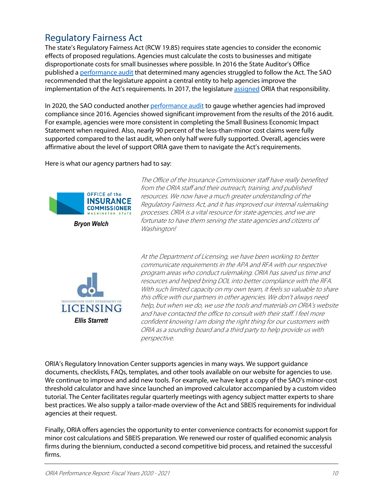# <span id="page-12-0"></span>Regulatory Fairness Act

The state's Regulatory Fairness Act (RCW 19.85) requires state agencies to consider the economic effects of proposed regulations. Agencies must calculate the costs to businesses and mitigate disproportionate costs for small businesses where possible. In 2016 the State Auditor's Office published a [performance audit](https://portal.sao.wa.gov/ReportSearch/Home/ViewReportFile?arn=1018365&isFinding=false&sp=false) that determined many agencies struggled to follow the Act. The SAO recommended that the legislature appoint a central entity to help agencies improve the implementation of the Act's requirements. In 2017, the legislatur[e assigned](https://app.leg.wa.gov/billsummary?BillNumber=1120&Year=2017) ORIA that responsibility.

In 2020, the SAO conducted anothe[r performance audit](https://sao.wa.gov/wp-content/uploads/Tabs/PerformanceAudit/PA_Reassessing_Implementation_Reg_Fairness_Act_ar-1027267.pdf) to gauge whether agencies had improved compliance since 2016. Agencies showed significant improvement from the results of the 2016 audit. For example, agencies were more consistent in completing the Small Business Economic Impact Statement when required. Also, nearly 90 percent of the less-than-minor cost claims were fully supported compared to the last audit, when only half were fully supported. Overall, agencies were affirmative about the level of support ORIA gave them to navigate the Act's requirements.

Here is what our agency partners had to say:



*Bryon Welch*



The Office of the Insurance Commissioner staff have really benefited from the ORIA staff and their outreach, training, and published resources. We now have a much greater understanding of the Regulatory Fairness Act, and it has improved our internal rulemaking processes. ORIA is a vital resource for state agencies, and we are fortunate to have them serving the state agencies and citizens of Washington!

At the Department of Licensing, we have been working to better communicate requirements in the APA and RFA with our respective program areas who conduct rulemaking. ORIA has saved us time and resources and helped bring DOL into better compliance with the RFA. With such limited capacity on my own team, it feels so valuable to share this office with our partners in other agencies. We don't always need help, but when we do, we use the tools and materials on ORIA's website and have contacted the office to consult with their staff. I feel more confident knowing I am doing the right thing for our customers with ORIA as a sounding board and a third party to help provide us with perspective.

ORIA's Regulatory Innovation Center supports agencies in many ways. We support guidance documents, checklists, FAQs, templates, and other tools available on our website for agencies to use. We continue to improve and add new tools. For example, we have kept a copy of the SAO's minor-cost threshold calculator and have since launched an improved calculator accompanied by a custom video tutorial. The Center facilitates regular quarterly meetings with agency subject matter experts to share best practices. We also supply a tailor-made overview of the Act and SBEIS requirements for individual agencies at their request.

Finally, ORIA offers agencies the opportunity to enter convenience contracts for economist support for minor cost calculations and SBEIS preparation. We renewed our roster of qualified economic analysis firms during the biennium, conducted a second competitive bid process, and retained the successful firms.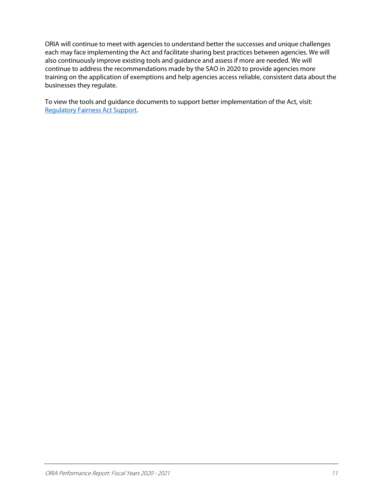ORIA will continue to meet with agencies to understand better the successes and unique challenges each may face implementing the Act and facilitate sharing best practices between agencies. We will also continuously improve existing tools and guidance and assess if more are needed. We will continue to address the recommendations made by the SAO in 2020 to provide agencies more training on the application of exemptions and help agencies access reliable, consistent data about the businesses they regulate.

To view the tools and guidance documents to support better implementation of the Act, visit: [Regulatory Fairness Act Support.](https://www.oria.wa.gov/site/alias__oria/934/Regulatory-Fairness-Act-Support.aspx)